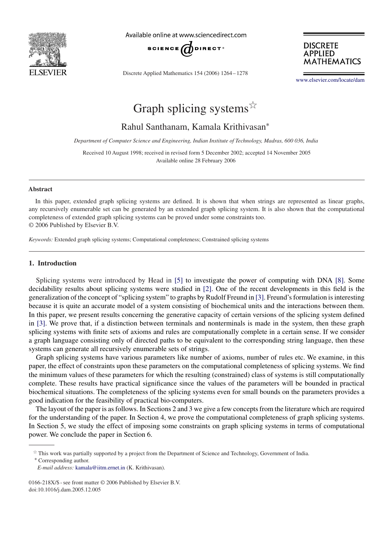

Available online at www.sciencedirect.com



Discrete Applied Mathematics 154 (2006) 1264 – 1278

**DISCRETE APPLIED MATHEMATICS** 

[www.elsevier.com/locate/dam](http://www.elsevier.com/locate/dam)

# Graph splicing systems  $\overrightarrow{x}$

Rahul Santhanam, Kamala Krithivasan<sup>∗</sup>

*Department of Computer Science and Engineering, Indian Institute of Technology, Madras, 600 036, India*

Received 10 August 1998; received in revised form 5 December 2002; accepted 14 November 2005 Available online 28 February 2006

#### **Abstract**

In this paper, extended graph splicing systems are defined. It is shown that when strings are represented as linear graphs, any recursively enumerable set can be generated by an extended graph splicing system. It is also shown that the computational completeness of extended graph splicing systems can be proved under some constraints too. © 2006 Published by Elsevier B.V.

*Keywords:* Extended graph splicing systems; Computational completeness; Constrained splicing systems

# **1. Introduction**

Splicing systems were introduced by Head in [\[5\]](#page-14-0) to investigate the power of computing with DNA [\[8\].](#page-14-0) Some decidability results about splicing systems were studied in [\[2\].](#page-13-0) One of the recent developments in this field is the generalization of the concept of "splicing system" to graphs by Rudolf Freund in [\[3\].](#page-13-0) Freund's formulation is interesting because it is quite an accurate model of a system consisting of biochemical units and the interactions between them. In this paper, we present results concerning the generative capacity of certain versions of the splicing system defined in [\[3\].](#page-13-0) We prove that, if a distinction between terminals and nonterminals is made in the system, then these graph splicing systems with finite sets of axioms and rules are computationally complete in a certain sense. If we consider a graph language consisting only of directed paths to be equivalent to the corresponding string language, then these systems can generate all recursively enumerable sets of strings.

Graph splicing systems have various parameters like number of axioms, number of rules etc. We examine, in this paper, the effect of constraints upon these parameters on the computational completeness of splicing systems. We find the minimum values of these parameters for which the resulting (constrained) class of systems is still computationally complete. These results have practical significance since the values of the parameters will be bounded in practical biochemical situations. The completeness of the splicing systems even for small bounds on the parameters provides a good indication for the feasibility of practical bio-computers.

The layout of the paper is as follows. In Sections 2 and 3 we give a few concepts from the literature which are required for the understanding of the paper. In Section 4, we prove the computational completeness of graph splicing systems. In Section 5, we study the effect of imposing some constraints on graph splicing systems in terms of computational power. We conclude the paper in Section 6.

<sup>∗</sup> Corresponding author.

 $*$  This work was partially supported by a project from the Department of Science and Technology, Government of India.

*E-mail address:* [kamala@iitm.ernet.in](mailto:kamala@iitm.ernet.in) (K. Krithivasan).

<sup>0166-218</sup>X/\$ - see front matter © 2006 Published by Elsevier B.V. doi:10.1016/j.dam.2005.12.005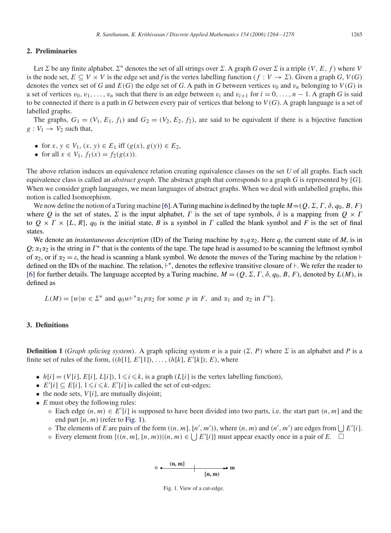## **2. Preliminaries**

Let  $\Sigma$  be any finite alphabet.  $\Sigma^*$  denotes the set of all strings over  $\Sigma$ . A graph *G* over  $\Sigma$  is a triple  $(V, E, f)$  where V is the node set,  $E \subseteq V \times V$  is the edge set and *f* is the vertex labelling function  $(f : V \to \Sigma)$ . Given a graph *G*,  $V(G)$ denotes the vertex set of *G* and  $E(G)$  the edge set of *G*. A path in *G* between vertices  $v_0$  and  $v_n$  belonging to  $V(G)$  is a set of vertices  $v_0, v_1, \ldots, v_n$  such that there is an edge between  $v_i$  and  $v_{i+1}$  for  $i = 0, \ldots, n-1$ . A graph *G* is said to be connected if there is a path in *G* between every pair of vertices that belong to  $V(G)$ . A graph language is a set of labelled graphs.

The graphs,  $G_1 = (V_1, E_1, f_1)$  and  $G_2 = (V_2, E_2, f_2)$ , are said to be equivalent if there is a bijective function  $g: V_1 \rightarrow V_2$  such that,

- for  $x, y \in V_1$ ,  $(x, y) \in E_1$  iff  $(g(x), g(y)) \in E_2$ ,
- for all  $x \in V_1$ ,  $f_1(x) = f_2(g(x))$ .

The above relation induces an equivalence relation creating equivalence classes on the set *U* of all graphs. Each such equivalence class is called an *abstract graph*. The abstract graph that corresponds to a graph *<sup>G</sup>* is represented by [G]. When we consider graph languages, we mean languages of abstract graphs. When we deal with unlabelled graphs, this notion is called Isomorphism.

We now define the notion of a Turing machine [\[6\].](#page-14-0) A Turing machine is defined by the tuple  $M = (Q, \Sigma, \Gamma, \delta, q_0, B, F)$ <br>pere Q is the set of states  $\Sigma$  is the input alphabet.  $\Gamma$  is the set of tape symbols  $\delta$  is a manning where *Q* is the set of states,  $\Sigma$  is the input alphabet,  $\Gamma$  is the set of tape symbols,  $\delta$  is a mapping from  $Q \times \Gamma$ <br>to  $Q \times \Gamma \times H$ ,  $R \cup q_0$  is the initial state,  $R$  is a symbol in  $\Gamma$  called the blank symbol and to  $Q \times \Gamma \times \{L, R\}$ ,  $q_0$  is the initial state, *B* is a symbol in  $\Gamma$  called the blank symbol and  $F$  is the set of final states states.

We denote an *instantaneous description* (ID) of the Turing machine by  $\alpha_1 q \alpha_2$ . Here *q*, the current state of *M*, is in  $Q$ ;  $\alpha_1\alpha_2$  is the string in  $\Gamma^*$  that is the contents of the tape. The tape head is assumed to be scanning the leftmost symbol of  $\alpha_2$ , or if  $\alpha_2 = \varepsilon$ , the head is scanning a blank symbol. We denote the moves of the Turing machine by the relation  $\vdash$ defined on the IDs of the machine. The relation,  $\vdash^*$ , denotes the reflexive transitive closure of  $\vdash$ . We refer the reader to [\[6\]](#page-14-0) for further details. The language accepted by a Turing machine,  $M = (Q, \Sigma, \Gamma, \delta, q_0, B, F)$ , denoted by  $L(M)$ , is defined as defined as

 $L(M) = \{w | w \in \Sigma^* \text{ and } q_0 w \vdash^* \alpha_1 p \alpha_2 \text{ for some } p \text{ in } F, \text{ and } \alpha_1 \text{ and } \alpha_2 \text{ in } \Gamma^* \}.$ 

## **3. Definitions**

**Definition 1** (*Graph splicing system*). A graph splicing system  $\sigma$  is a pair ( $\Sigma$ ,  $P$ ) where  $\Sigma$  is an alphabet and  $P$  is a finite set of rules of the form,  $((h[1], E'[1]), \ldots, (h[k], E'[k]); E)$ , where

- $h[i] = (V[i], E[i], L[i]), 1 \leq i \leq k$ , is a graph  $(L[i])$  is the vertex labelling function),
- $E'[i] \subseteq E[i], 1 \le i \le k$ .  $E'[i]$  is called the set of cut-edges;<br>• the node sets *VIi*1 are mutually disjoint:
- the node sets,  $V[i]$ , are mutually disjoint;
- *E* must obey the following rules:
	- Each edge  $(n, m) \in E'[i]$  is supposed to have been divided into two parts, i.e. the start part  $(n, m]$  and the end part  $[n, m)$  (refer to Eig. 1) end part  $[n, m)$  (refer to Fig. 1).
	- **○** The elements of *E* are pairs of the form  $((n, m], [n', m'))$ , where  $(n, m)$  and  $(n', m')$  are edges from  $\bigcup E'[i]$ .
	- $\circ$  Every element from {((n, m], [n, m))|(n, m) ∈  $\bigcup E'[i]$ } must appear exactly once in a pair of *E*.  $\Box$

n 
$$
\bullet
$$
 (n, m]  $\bullet$  m

Fig. 1. View of a cut-edge.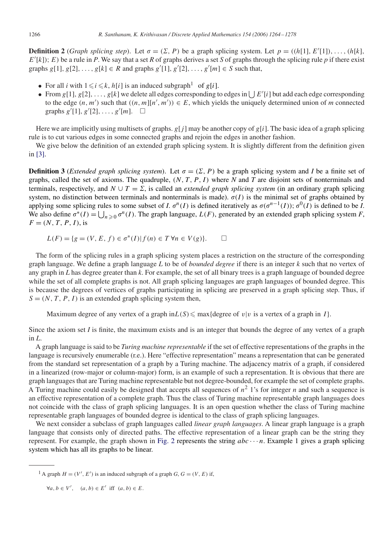**Definition 2** (*Graph splicing step*). Let  $\sigma = (\Sigma, P)$  be a graph splicing system. Let  $p = ((h[1], E'[1]), \ldots, (h[k], E'[k]) \cdot F)$  be a rule in *P*. We say that a set *R* of graphs derives a set *S* of graphs through the splicing rule  $E'[k]$ ; E) be a rule in *P*. We say that a set *R* of graphs derives a set *S* of graphs through the splicing rule *p* if there exist graphs  $g[1], g[2], ..., g[k] \in R$  and graphs  $g'[1], g'[2], ..., g'[m] \in S$  such that,

- For all *i* with  $1 \le i \le k$ ,  $h[i]$  is an induced subgraph<sup>1</sup> of g[i].
- From g[1], g[2],...,g[k] we delete all edges corresponding to edges in  $\bigcup E'[i]$  but add each edge corresponding to the edge  $(n, m')$  such that  $((n, m![n', m')) \in E$  which vields the uniquely determined union of m connected to the edge  $(n, m')$  such that  $((n, m][n', m')) \in E$ , which yields the uniquely determined union of *m* connected graphs  $a'[1]$ ,  $a'[2]$ graphs  $g'[1], g'[2], ..., g'[m]$ .  $\square$

Here we are implicitly using multisets of graphs.  $g[j]$  may be another copy of  $g[i]$ . The basic idea of a graph splicing rule is to cut various edges in some connected graphs and rejoin the edges in another fashion.

We give below the definition of an extended graph splicing system. It is slightly different from the definition given in [\[3\].](#page-13-0)

**Definition 3** (*Extended graph splicing system*). Let  $\sigma = (\Sigma, P)$  be a graph splicing system and *I* be a finite set of graphs, called the set of axioms. The quadruple,  $(N, T, P, I)$  where N and T are disjoint sets of nonterminals and terminals, respectively, and  $N \cup T = \Sigma$ , is called an *extended graph splicing system* (in an ordinary graph splicing system, no distinction between terminals and nonterminals is made).  $\sigma(I)$  is the minimal set of graphs obtained by applying some splicing rules to some subset of *I*.  $\sigma^{n}(I)$  is defined iteratively as  $\sigma(\sigma^{n-1}(I)); \sigma^{0}(I)$  is defined to be *I*. We also define  $\sigma^*(I) = \bigcup_{n \geq 0} \sigma^n(I)$ . The graph language,  $L(F)$ , generated by an extended graph splicing system *F*,  $F = (N \ T \ P \ I)$  is  $F = (N, T, P, I),$  is

$$
L(F) = \{ g = (V, E, f) \in \sigma^*(I) | f(n) \in T \,\forall n \in V(g) \}. \qquad \Box
$$

The form of the splicing rules in a graph splicing system places a restriction on the structure of the corresponding graph language. We define a graph language *L* to be of *bounded degree* if there is an integer *k* such that no vertex of any graph in *L* has degree greater than *k*. For example, the set of all binary trees is a graph language of bounded degree while the set of all complete graphs is not. All graph splicing languages are graph languages of bounded degree. This is because the degrees of vertices of graphs participating in splicing are preserved in a graph splicing step. Thus, if  $S = (N, T, P, I)$  is an extended graph splicing system then,

Maximum degree of any vertex of a graph  $\text{in } L(S) \leq \max{\{\text{degree of } v|v \text{ is a vertex of a graph in } I\}}$ .

Since the axiom set *I* is finite, the maximum exists and is an integer that bounds the degree of any vertex of a graph in *L*.

A graph language is said to be *Turing machine representable* if the set of effective representations of the graphs in the language is recursively enumerable (r.e.). Here "effective representation" means a representation that can be generated from the standard set representation of a graph by a Turing machine. The adjacency matrix of a graph, if considered in a linearized (row-major or column-major) form, is an example of such a representation. It is obvious that there are graph languages that are Turing machine representable but not degree-bounded, for example the set of complete graphs. A Turing machine could easily be designed that accepts all sequences of  $n^2$  1's for integer *n* and such a sequence is an effective representation of a complete graph. Thus the class of Turing machine representable graph languages does not coincide with the class of graph splicing languages. It is an open question whether the class of Turing machine representable graph languages of bounded degree is identical to the class of graph splicing languages.

We next consider a subclass of graph languages called *linear graph languages*. A linear graph language is a graph language that consists only of directed paths. The effective representation of a linear graph can be the string they represent. For example, the graph shown in [Fig. 2](#page-3-0) represents the string  $abc \cdots n$ . Example 1 gives a graph splicing system which has all its graphs to be linear.

<sup>&</sup>lt;sup>1</sup> A graph  $H = (V', E')$  is an induced subgraph of a graph *G*, *G* =  $(V, E)$  if,

 $\forall a, b \in V', \quad (a, b) \in E' \text{ iff } (a, b) \in E.$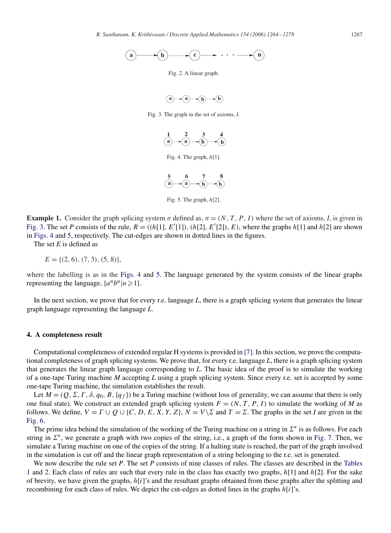<span id="page-3-0"></span>

Fig. 2. A linear graph.



Fig. 3. The graph in the set of axioms, *I*.



Fig. 5. The graph,  $h[2]$ .

**Example 1.** Consider the graph splicing system  $\sigma$  defined as,  $\sigma = (N, T, P, I)$  where the set of axioms, *I*, is given in Fig. 3. The set *P* consists of the rule,  $R = ((h[1], E'[1]), (h[2], E'[2]), E)$ , where the graphs  $h[1]$  and  $h[2]$  are shown<br>in Figs. 4 and 5, respectively. The cut-edges are shown in dotted lines in the figures in Figs. 4 and 5, respectively. The cut-edges are shown in dotted lines in the figures.

The set *E* is defined as

$$
E = \{ (2, 6), (7, 3), (5, 8) \},\
$$

where the labelling is as in the Figs. 4 and 5. The language generated by the system consists of the linear graphs representing the language,  $\{a^n b^n | n \geq 1\}.$ 

In the next section, we prove that for every r.e. language *L*, there is a graph splicing system that generates the linear graph language representing the language *L*.

## **4. A completeness result**

Computational completeness of extended regular H systems is provided in [\[7\].](#page-14-0) In this section, we prove the computational completeness of graph splicing systems. We prove that, for every r.e. language *L*, there is a graph splicing system that generates the linear graph language corresponding to *L*. The basic idea of the proof is to simulate the working of a one-tape Turing machine *M* accepting *L* using a graph splicing system. Since every r.e. set is accepted by some one-tape Turing machine, the simulation establishes the result.

Let  $M = (Q, \Sigma, \Gamma, \delta, q_0, B, \{q_f\})$  be a Turing machine (without loss of generality, we can assume that there is only  $\epsilon$  final state). We construct an extended graph splicing system  $F = (N, T, P, I)$  to simulate the working of one final state). We construct an extended graph splicing system  $F = (N, T, P, I)$  to simulate the working of *M* as follows. We define,  $V = \Gamma \cup Q \cup \{C, D, E, X, Y, Z\}$ ,  $N = V \setminus \Sigma$  and  $T = \Sigma$ . The graphs in the set *I* are given in the [Fig. 6.](#page-4-0)

The prime idea behind the simulation of the working of the Turing machine on a string in  $\Sigma^*$  is as follows. For each string in  $\Sigma^*$ , we generate a graph with two copies of the string, i.e., a graph of the form shown in [Fig. 7.](#page-4-0) Then, we simulate a Turing machine on one of the copies of the string. If a halting state is reached, the part of the graph involved in the simulation is cut off and the linear graph representation of a string belonging to the r.e. set is generated.

We now describe the rule set *P*. The set *P* [consists of nine classes of rules. The classes are described in the](#page-4-0) Tables 1 and [2.](#page-5-0) Each class of rules are such that every rule in the class has exactly two graphs,  $h[1]$  and  $h[2]$ . For the sake of brevity, we have given the graphs,  $h[i]'s$  and the resultant graphs obtained from these graphs after the splitting and recombining for each class of rules. We depict the cut-edges as dotted lines in the graphs  $h[i]'s$ .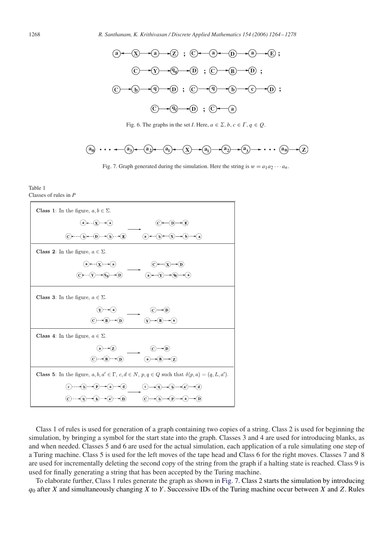

Fig. 6. The graphs in the set *I*. Here,  $a \in \Sigma$ ,  $b, c \in \Gamma$ ,  $q \in \mathcal{Q}$ .



Fig. 7. Graph generated during the simulation. Here the string is  $w = a_1 a_2 \cdots a_n$ .

#### Table 1 Classes of rules in *P*



Class 1 of rules is used for generation of a graph containing two copies of a string. Class 2 is used for beginning the simulation, by bringing a symbol for the start state into the graph. Classes 3 and 4 are used for introducing blanks, as and when needed. Classes 5 and 6 are used for the actual simulation, each application of a rule simulating one step of a Turing machine. Class 5 is used for the left moves of the tape head and Class 6 for the right moves. Classes 7 and 8 are used for incrementally deleting the second copy of the string from the graph if a halting state is reached. Class 9 is used for finally generating a string that has been accepted by the Turing machine.

To elaborate further, Class 1 rules generate the graph as shown in Fig. 7. Class 2 starts the simulation by introducing  $q_0$  after X and simultaneously changing X to Y. Successive IDs of the Turing machine occur between X and Z. Rules

<span id="page-4-0"></span>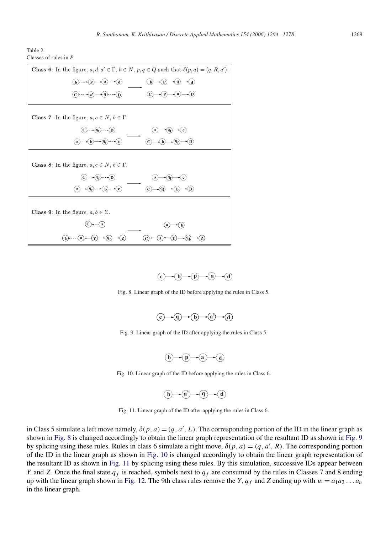<span id="page-5-0"></span>





Fig. 8. Linear graph of the ID before applying the rules in Class 5.

$$
\begin{array}{c}\n\textcircled{0}\rightarrow\textcircled{0}\rightarrow\textcircled{b}\rightarrow\textcircled{a}\rightarrow\textcircled{d}\n\end{array}
$$

Fig. 9. Linear graph of the ID after applying the rules in Class 5.

$$
\textcircled{b}\rightarrow \textcircled{p}\rightarrow \textcircled{a}\rightarrow \textcircled{d}
$$

Fig. 10. Linear graph of the ID before applying the rules in Class 6.

$$
\textcircled{b}\rightarrow\textcircled{a}\rightarrow\textcircled{q}\rightarrow\textcircled{d}
$$

Fig. 11. Linear graph of the ID after applying the rules in Class 6.

in Class 5 simulate a left move namely,  $\delta(p, a) = (q, a', L)$ . The corresponding portion of the ID in the linear graph as shown in Fig. 8 shown in Fig. 9 shown in Fig. 8 is changed accordingly to obtain the linear graph representation of the resultant ID as shown in Fig. 9 by splicing using these rules. Rules in class 6 simulate a right move,  $\delta(p, a) = (q, a', R)$ . The corresponding portion of the ID in the linear graph as shown in Fig. 10 is changed accordingly to obtain the linear graph repres of the ID in the linear graph as shown in Fig. 10 is changed accordingly to obtain the linear graph representation of the resultant ID as shown in Fig. 11 by splicing using these rules. By this simulation, successive IDs appear between Y and Z. Once the final state  $q_f$  is reached, symbols next to  $q_f$  are consumed by the rules in Classes 7 and 8 ending up with the linear graph shown in [Fig. 12.](#page-6-0) The 9th class rules remove the Y,  $q_f$  and Z ending up with  $w = a_1 a_2 ... a_n$ in the linear graph.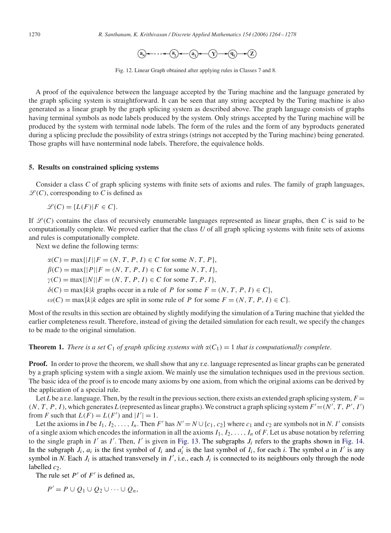$$
\textbf{a}_n \hspace{-1.5mm} \rightarrow \hspace{-1.5mm} \cdots \hspace{-1.5mm} \leftarrow \hspace{-1.5mm} \textbf{a}_1 \hspace{-1.5mm} \right) \hspace{-1.5mm} \leftarrow \hspace{-1.5mm} \cdots \hspace{-1.5mm} \left( \hspace{-1.5mm} \begin{array}{c} \textbf{a}_1 \hspace{-1.5mm} \end{array} \hspace{-1.5mm} \right) \hspace{-1.5mm} \left( \textbf{a}_1 \hspace{-1.5mm} \right) \hspace{-1.5mm} \hspace{-1.5mm} \rightarrow \hspace{-1.5mm} \left( \textbf{a}_1 \hspace{-1.5mm} \right) \hspace{-1.5mm} \right)
$$

Fig. 12. Linear Graph obtained after applying rules in Classes 7 and 8.

<span id="page-6-0"></span>A proof of the equivalence between the language accepted by the Turing machine and the language generated by the graph splicing system is straightforward. It can be seen that any string accepted by the Turing machine is also generated as a linear graph by the graph splicing system as described above. The graph language consists of graphs having terminal symbols as node labels produced by the system. Only strings accepted by the Turing machine will be produced by the system with terminal node labels. The form of the rules and the form of any byproducts generated during a splicing preclude the possibility of extra strings (strings not accepted by the Turing machine) being generated. Those graphs will have nonterminal node labels. Therefore, the equivalence holds.

## **5. Results on constrained splicing systems**

Consider a class *C* of graph splicing systems with finite sets of axioms and rules. The family of graph languages,  $\mathcal{L}(C)$ , corresponding to *C* is defined as

 $\mathcal{L}(C) = \{L(F) | F \in C\}.$ 

If  $\mathcal{L}(C)$  contains the class of recursively enumerable languages represented as linear graphs, then *C* is said to be computationally complete. We proved earlier that the class *U* of all graph splicing systems with finite sets of axioms and rules is computationally complete.

Next we define the following terms:

$$
\alpha(C) = \max\{|I||F = (N, T, P, I) \in C \text{ for some } N, T, P\},
$$
  
\n
$$
\beta(C) = \max\{|P||F = (N, T, P, I) \in C \text{ for some } N, T, I\},
$$
  
\n
$$
\gamma(C) = \max\{|N||F = (N, T, P, I) \in C \text{ for some } T, P, I\},
$$
  
\n
$$
\delta(C) = \max\{k|k \text{ graphs occur in a rule of } P \text{ for some } F = (N, T, P, I) \in C\},
$$
  
\n
$$
\omega(C) = \max\{k|k \text{ edges are split in some rule of } P \text{ for some } F = (N, T, P, I) \in C\}.
$$

Most of the results in this section are obtained by slightly modifying the simulation of a Turing machine that yielded the earlier completeness result. Therefore, instead of giving the detailed simulation for each result, we specify the changes to be made to the original simulation.

**Theorem 1.** *There is a set*  $C_1$  *of graph splicing systems with*  $\alpha(C_1) = 1$  *that is computationally complete.* 

**Proof.** In order to prove the theorem, we shall show that any r.e. language represented as linear graphs can be generated by a graph splicing system with a single axiom. We mainly use the simulation techniques used in the previous section. The basic idea of the proof is to encode many axioms by one axiom, from which the original axioms can be derived by the application of a special rule.

Let *L* be a r.e. language. Then, by the result in the previous section, there exists an extended graph splicing system,  $F =$  $(N, T, P, I)$ , which generates *L* (represented as linear graphs). We construct a graph splicing system  $F' = (N', T, P', I')$  from *F* such that  $I(F) = I(F')$  and  $|I'| = 1$ from *F* such that  $L(F) = L(F')$  and  $|I'| = 1$ .<br>Let the axioms in the L L L L L Then

Let the axioms in *I* be  $I_1, I_2, \ldots, I_n$ . Then F' has  $N' = N \cup \{c_1, c_2\}$  where  $c_1$  and  $c_2$  are symbols not in *N*. I' consists of a single axiom which encodes the information in all the axioms  $I_1, I_2, \ldots, I_n$  of *F*. Let us abuse notation by referring to the single graph in I' as I'. Then, I' is given in [Fig. 13.](#page-7-0) The subgraphs  $J_i$  refers to the graphs shown in [Fig. 14.](#page-7-0)<br>In the subgraph  $J_i$  as it is the first symbol of  $J_i$  and  $a'$  is the last symbol of  $J_i$  for each In the subgraph  $J_i$ ,  $a_i$  is the first symbol of  $I_i$  and  $a_i^{\dagger}$  is the last symbol of  $I_i$ , for each *i*. The symbol *a* in *I'* is any symbol in *N* Each *L* is attached transversely in *I'* i.e. each *L* is connect symbol in *N*. Each  $J_i$  is attached transversely in  $I'$ , i.e., each  $J_i$  is connected to its neighbours only through the node labelled  $c_2$ .

The rule set  $P'$  of  $F'$  is defined as,

 $P' = P \cup Q_1 \cup Q_2 \cup \cdots \cup Q_n,$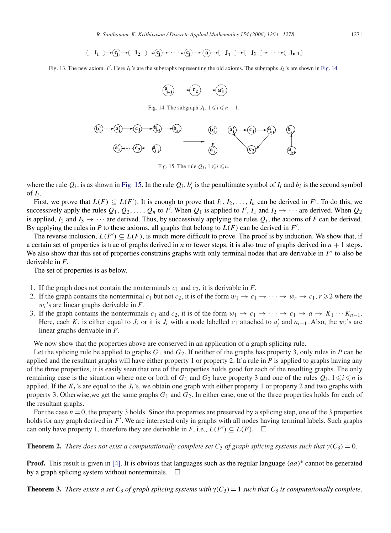$$
\boxed{\underline{I_1}} \rightarrow \textcircled{q} \rightarrow \boxed{\underline{I_2}} \rightarrow \textcircled{q} \rightarrow \cdots \rightarrow \textcircled{q} \rightarrow \boxed{\underline{J_1}} \rightarrow \boxed{\underline{J_2}} \rightarrow \cdots \rightarrow \boxed{\underline{J_{n-1}}}
$$

<span id="page-7-0"></span>Fig. 13. The new axiom, I'. Here  $I_k$ 's are the subgraphs representing the old axioms. The subgraphs  $J_k$ 's are shown in Fig. 14.



Fig. 14. The subgraph  $J_i$ ,  $1 \le i \le n - 1$ .



Fig. 15. The rule  $Q_i$ ,  $1 \le i \le n$ .

where the rule  $Q_i$ , is as shown in Fig. 15. In the rule  $Q_i$ ,  $b'_i$  is the penultimate symbol of  $I_i$  and  $b_i$  is the second symbol of  $I_i$ of  $I_i$ .

First, we prove that  $L(F) \subseteq L(F')$ . It is enough to prove that  $I_1, I_2, \ldots, I_n$  can be derived in F'. To do this, we consider that  $I_1, I_2, \ldots, I_n$  can be derived in F'. To do this, we consider the rules  $Q_1, Q_2, \ldots, Q_n$  of successively apply the rules  $Q_1, Q_2, \ldots, Q_n$  to  $I'$ . When  $Q_1$  is applied to  $I', I_1$  and  $I_2 \rightarrow \cdots$  are derived. When  $Q_2$  is applied to  $I'$ ,  $I_1$  and  $I_2 \rightarrow \cdots$  are derived. is applied,  $I_2$  and  $I_3 \rightarrow \cdots$  are derived. Thus, by successively applying the rules  $Q_i$ , the axioms of *F* can be derived. By applying the rules in *P* to these axioms, all graphs that belong to  $L(F)$  can be derived in *F'*.<br>The reverse inclusion  $L(F) \subseteq L(F)$  is much more difficult to prove. The proof is by induction

The reverse inclusion,  $L(F') \subseteq L(F)$ , is much more difficult to prove. The proof is by induction. We show that, if a certain set of properties is true of graphs derived in *n* or fewer steps, it is also true of graphs derived in  $n + 1$  steps. We also show that this set of properties constrains graphs with only terminal nodes that are derivable in  $F'$  to also be derivable in *F*.

The set of properties is as below.

- 1. If the graph does not contain the nonterminals  $c_1$  and  $c_2$ , it is derivable in *F*.
- 2. If the graph contains the nonterminal  $c_1$  but not  $c_2$ , it is of the form  $w_1 \to c_1 \to \cdots \to w_r \to c_1, r \geq 2$  where the  $w_i$ 's are linear graphs derivable in  $F$ .
- 3. If the graph contains the nonterminals  $c_1$  and  $c_2$ , it is of the form  $w_1 \to c_1 \to \cdots \to c_1 \to a \to K_1 \cdots K_{n-1}$ . Here, each  $K_i$  is either equal to  $J_i$  or it is  $J_i$  with a node labelled  $c_1$  attached to  $a'_i$  and  $a_{i+1}$ . Also, the  $w_i$ 's are linear graphs derivable in  $F$ linear graphs derivable in *F*.

We now show that the properties above are conserved in an application of a graph splicing rule.

Let the splicing rule be applied to graphs  $G_1$  and  $G_2$ . If neither of the graphs has property 3, only rules in *P* can be applied and the resultant graphs will have either property 1 or property 2. If a rule in *P* is applied to graphs having any of the three properties, it is easily seen that one of the properties holds good for each of the resulting graphs. The only remaining case is the situation where one or both of  $G_1$  and  $G_2$  have property 3 and one of the rules  $Q_i$ ,  $1 \le i \le n$  is applied. If the  $K_i$ 's are equal to the  $J_i$ 's, we obtain one graph with either property 1 or property 2 and two graphs with property 3. Otherwise, we get the same graphs  $G_1$  and  $G_2$ . In either case, one of the three properties holds for each of the resultant graphs.

For the case  $n = 0$ , the property 3 holds. Since the properties are preserved by a splicing step, one of the 3 properties holds for any graph derived in  $F'$ . We are interested only in graphs with all nodes having terminal labels. Such graphs can only have property 1, therefore they are derivable in  $F$  i.e.,  $I(F') \subset I(F)$ can only have property 1, therefore they are derivable in *F*, i.e.,  $L(F') \subseteq L(F)$ .  $\Box$ 

**Theorem 2.** *There does not exist a computationally complete set*  $C_3$  *of graph splicing systems such that*  $\gamma(C_3) = 0$ .

**Proof.** This result is given in [\[4\].](#page-14-0) It is obvious that languages such as the regular language  $(aa)^*$  cannot be generated by a graph splicing system without nonterminals.  $\Box$ 

**Theorem 3.** *There exists a set*  $C_3$  *of graph splicing systems with*  $\gamma(C_3) = 1$  *such that*  $C_3$  *is computationally complete.*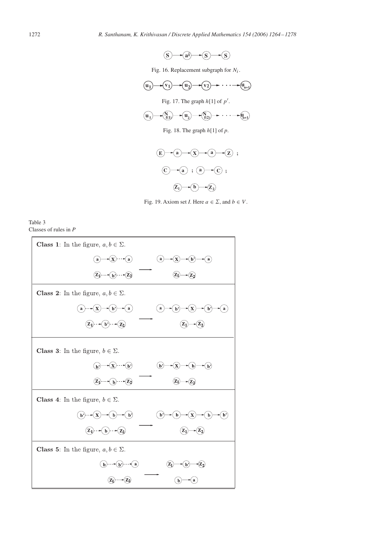

Fig. 16. Replacement subgraph for  $N_i$ .

<span id="page-8-0"></span>



Fig. 18. The graph h[1] of *<sup>p</sup>*.



Fig. 19. Axiom set *I*. Here  $a \in \Sigma$ , and  $b \in V$ .

Table 3 Classes of rules in *P*

| <b>Class 1:</b> In the figure, $a, b \in \Sigma$ .                                                                                                                                                                                                                                                                                                                                    |
|---------------------------------------------------------------------------------------------------------------------------------------------------------------------------------------------------------------------------------------------------------------------------------------------------------------------------------------------------------------------------------------|
| $\mathbf{-(x)}$ $\cdots$ $\mathbf{-(a)}$<br>$\hat{\mathbf{b}}$<br>$\mathbf{a}$<br>$\bf{a}$<br>$\left( \begin{array}{c} \textbf{a} \end{array} \right)$<br>X                                                                                                                                                                                                                           |
| $\widehat{z_0}$ - $\widehat{z_0}$ - $\widehat{z_2}$                                                                                                                                                                                                                                                                                                                                   |
| <b>Class 2:</b> In the figure, $a, b \in \Sigma$ .                                                                                                                                                                                                                                                                                                                                    |
| $\mathbf{a}$<br>$\mathbf{b}^{\prime}$<br>$\bf{a}$<br>a                                                                                                                                                                                                                                                                                                                                |
| $\mathbf{b}$ $\rightarrow$ $\mathbf{z}_2$<br>$\mathbf{z}_1$<br>$\mathbf{Z}_1$                                                                                                                                                                                                                                                                                                         |
| <b>Class 3:</b> In the figure, $b \in \Sigma$ .                                                                                                                                                                                                                                                                                                                                       |
| $-(x)$ $-(p)$<br>$\mathbf{b}$<br>$\mathbf{b}$<br>$\vert b \rangle$<br>b                                                                                                                                                                                                                                                                                                               |
| $\begin{picture}(20,10) \put(0,0){\vector(1,0){100}} \put(15,0){\vector(1,0){100}} \put(15,0){\vector(1,0){100}} \put(15,0){\vector(1,0){100}} \put(15,0){\vector(1,0){100}} \put(15,0){\vector(1,0){100}} \put(15,0){\vector(1,0){100}} \put(15,0){\vector(1,0){100}} \put(15,0){\vector(1,0){100}} \put(15,0){\vector(1,0){100}} \put(15,0){\vector(1,0){100}} \$<br>$\mathbf{z}_1$ |
| <b>Class 4:</b> In the figure, $b \in \Sigma$ .                                                                                                                                                                                                                                                                                                                                       |
| (b)<br>$\mathbf{b}$<br>$\mathbf{b}$<br>p,<br>þ                                                                                                                                                                                                                                                                                                                                        |
| $\mathbf{Z}_2$<br>$\mathbf{b}$<br>Z1                                                                                                                                                                                                                                                                                                                                                  |
| <b>Class 5:</b> In the figure, $a, b \in \Sigma$ .                                                                                                                                                                                                                                                                                                                                    |
| $\mathbf{b}$<br>$\mathbf{b}$<br>b                                                                                                                                                                                                                                                                                                                                                     |
| a                                                                                                                                                                                                                                                                                                                                                                                     |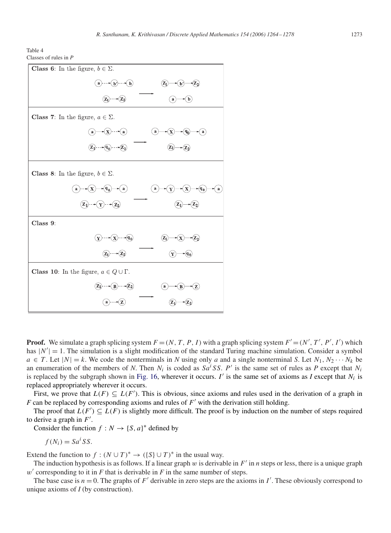Table 4 Classes of rules in *P*

| <b>Class 6:</b> In the figure, $b \in \Sigma$ .                                                        |
|--------------------------------------------------------------------------------------------------------|
| a) $\cdots$ b) $\cdots$ b)<br>$(\mathbf{Z}_1)$<br>$\sqrt{z_2}$<br>(b)                                  |
| $(\mathbf{Z}_1)$ --- $(\mathbf{Z}_2)$<br>$\left(\mathbf{b}\right)$<br>$\bf a$                          |
| <b>Class 7:</b> In the figure, $a \in \Sigma$ .                                                        |
| $\bigcirc$ $\bigcirc$ $\bigcirc$ $\bigcirc$<br>$\bf{a}$<br>$\mathbf{q_0}$<br>a<br>a                    |
| $(\overline{\mathcal{L}}_1) \cdots (\overline{\mathcal{L}}_0) \cdots (\overline{\mathcal{L}}_2)$<br>Z٥ |
| <b>Class 8:</b> In the figure, $b \in \Sigma$ .                                                        |
| $-(q_0)$<br>$\bf\langle\ a\,$<br>$\bf{a}$<br>$({\bf q_0}$<br>$\bf{a}$<br>X<br>$\bf a$                  |
| $(Y) - (Z_2)$<br>$z_1$<br>$\mathbf{z}_1$                                                               |
| Class 9:                                                                                               |
| $(y)$ --- $(x)$ --- $(q_0)$<br>$(z_2)$<br>$\mathbf X$<br>$\mathbf{Z}_1$                                |
| $-(\mathbb{Z}_2)$<br>$({\bf Z}_1)$<br>$\mathbf{q_{0}}$<br>Y                                            |
| <b>Class 10:</b> In the figure, $a \in Q \cup \Gamma$ .                                                |
| $\widehat{\mathbb{Z}}_1$ - $\widehat{\mathbb{R}}$ - $\widehat{\mathbb{Z}}_2$<br>a                      |
| $\mathbf{a}$                                                                                           |

**Proof.** We simulate a graph splicing system  $F = (N, T, P, I)$  with a graph splicing system  $F' = (N', T', P', I')$  which has  $|N'| = 1$ . The simulation is a slight modification of the standard Turing machine simulation. Consider a symb has  $|N'| = 1$ . The simulation is a slight modification of the standard Turing machine simulation. Consider a symbol  $a \in T$ , Let  $N_1 \cup \cdots \cup N_k$  code the nonterminals in Nusing only q and a single nonterminal S. Let  $N_2 \cup N_$  $a \in T$ . Let  $|N| = k$ . We code the nonterminals in *N* using only *a* and a single nonterminal *S*. Let  $N_1, N_2 \cdots N_k$  be an enumeration of the members of *N*. Then  $N_i$  is coded as  $S a^i S S$ . P' is the same set of rules as *P* except that  $N_i$  is replaced by the subgraph shown in Fig. 16, wherever it occurs *I'* is the same set of axioms as is replaced by the subgraph shown in [Fig. 16,](#page-8-0) wherever it occurs. I' is the same set of axioms as I except that  $N_i$  is replaced appropriately wherever it occurs.

First, we prove that  $L(F) \subseteq L(F')$ . This is obvious, since axioms and rules used in the derivation of a graph in can be replaced by corresponding axioms and rules of  $F'$  with the derivation still holding *F* can be replaced by corresponding axioms and rules of  $F'$  with the derivation still holding.

The proof that  $L(F') \subseteq L(F)$  is slightly more difficult. The proof is by induction on the number of steps required derive a graph in  $F'$ to derive a graph in  $F'$ .<br>Consider the function

Consider the function  $f : N \to \{S, a\}^*$  defined by

$$
f(N_i) = Sa^i SS.
$$

Extend the function to  $f : (N \cup T)^* \to (\{S\} \cup T)^*$  in the usual way.

The induction hypothesis is as follows. If a linear graph  $w$  is derivable in  $F'$  in  $n$  steps or less, there is a unique graph  $w'$  corresponding to it in  $F$  that is derivable in  $F$  in the same number of steps.

The base case is  $n = 0$ . The graphs of F' derivable in zero steps are the axioms in I'. These obviously correspond to igne axioms of  $I$  (by construction) unique axioms of *I* (by construction).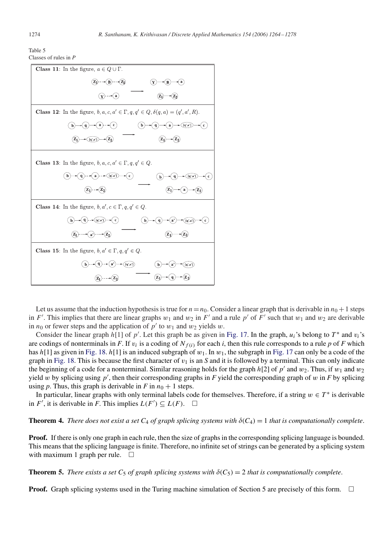| Table 5 |                         |  |
|---------|-------------------------|--|
|         | Classes of rules in $P$ |  |

| <b>Class 11:</b> In the figure, $a \in Q \cup \Gamma$ .                                                                                               |
|-------------------------------------------------------------------------------------------------------------------------------------------------------|
| $(\overline{z_1}) \cdots (\overline{z_n}) \cdots (\overline{z_n})$<br>в                                                                               |
| -⊷(a                                                                                                                                                  |
| <b>Class 12:</b> In the figure, $b, a, c, a' \in \Gamma, q, q' \in Q, \delta(q, a) = (q', a', R)$ .                                                   |
| $\blacktriangleright$ (a) $\blacktriangleright$ (c)<br>$(\mathbf{b})$<br>$\blacktriangleright$ $\bigoplus$ $[q',a']$<br>( c<br>$\preceq$ q<br>$\bf a$ |
| $\bigstar(\overline{[q',a']})$ --+                                                                                                                    |
| <b>Class 13:</b> In the figure, $b, a, c, a' \in \Gamma, q, q' \in Q$ .                                                                               |
| $\leftarrow$ (q',a'])<br>( c )<br>$\mathbf{a}$<br>[q',a']<br>$\mathbf b$                                                                              |
| $\mathbf{z}_1$<br>a                                                                                                                                   |
| <b>Class 14:</b> In the figure, $b, a', c \in \Gamma, q, q' \in Q$ .                                                                                  |
| $-(q^2,a^2)$ $-(c)$<br>$\mathbf{b}$<br>[q',a']                                                                                                        |
| $(a) \cdots (Z_2)$<br>Z                                                                                                                               |
| <b>Class 15:</b> In the figure, $b, a' \in \Gamma, q, q' \in Q$ .                                                                                     |
| ( [q', a'] )<br>[q',a']                                                                                                                               |
|                                                                                                                                                       |

Let us assume that the induction hypothesis is true for  $n=n_0$ . Consider a linear graph that is derivable in  $n_0 + 1$  steps in F'. This implies that there are linear graphs  $w_1$  and  $w_2$  in F' and a rule p' of  $\overline{F}'$  such that  $w_1$  and  $w_2$  are derivable in  $n_0$  or fewer steps and the application of  $p'$  to  $w_1$  and  $w_2$  yields w.

Consider the linear graph  $h[1]$  of p'. Let this graph be as given in [Fig. 17.](#page-8-0) In the graph,  $u_i$ 's belong to  $T^*$  and  $v_i$ 's codings of nonterminals in E. If  $v_i$  is a coding of  $N(\omega)$  for each *i*, then this rule corre are codings of nonterminals in *F*. If  $v_i$  is a coding of  $N_{f(i)}$  for each *i*, then this rule corresponds to a rule *p* of *F* which has h[1] as given in [Fig. 18.](#page-8-0) h[1] is an induced subgraph of  $w_1$ . In  $w_1$ , the subgraph in [Fig. 17](#page-8-0) can only be a code of the graph in [Fig. 18.](#page-8-0) This is because the first character of  $v_1$  is an *S* and it is followed by a terminal. This can only indicate the beginning of a code for a nonterminal. Similar reasoning holds for the graph  $h[2]$  of p' and  $w_2$ . Thus, if  $w_1$  and  $w_2$ yield w by splicing using p', then their corresponding graphs in *F* yield the corresponding graph of w in *F* by splicing using *n*. Thus, this graph is derivable in *F* in  $n_0 + 1$  steps using *p*. Thus, this graph is derivable in *F* in  $n_0 + 1$  steps.

In particular, linear graphs with only terminal labels code for themselves. Therefore, if a string  $w \in T^*$  is derivable in  $F'$ , it is derivable in *F*. This implies  $L(F') \subseteq L(F)$ .  $\Box$ 

**Theorem 4.** *There does not exist a set*  $C_4$  *of graph splicing systems with*  $\delta(C_4) = 1$  *that is computationally complete.* 

**Proof.** If there is only one graph in each rule, then the size of graphs in the corresponding splicing language is bounded. This means that the splicing language is finite. Therefore, no infinite set of strings can be generated by a splicing system with maximum 1 graph per rule.  $\Box$ 

**Theorem 5.** *There exists a set*  $C_5$  *of graph splicing systems with*  $\delta(C_5) = 2$  *that is computationally complete.* 

**Proof.** Graph splicing systems used in the Turing machine simulation of Section 5 are precisely of this form.  $\Box$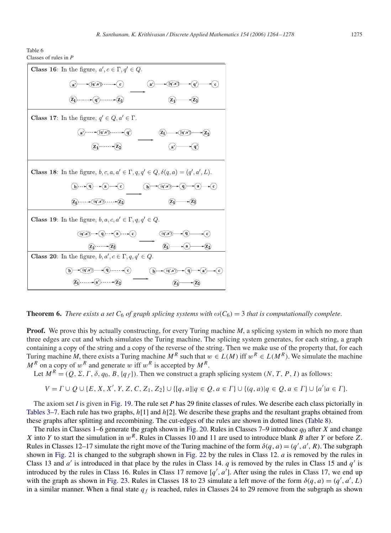| <b>Class 16:</b> In the figure, $a', c \in \Gamma, q' \in Q$ .                                                          |
|-------------------------------------------------------------------------------------------------------------------------|
| $\widehat{[q',a']}$ $\cdots$ $\leftarrow$ $\binom{c}{ }$<br>[q',a'<br>$\mathbf{a}^{\prime}$<br>a'                       |
| $\mathbf{q}$ <sup>2</sup> ) $\cdots$ $\mathbf{z}_2$<br>$Z_1$<br>$\mathbf{Z}_1$                                          |
| <b>Class 17:</b> In the figure, $q' \in Q, a' \in \Gamma$ .                                                             |
| $-\blacktriangleright(\mathbf{q}^{\prime},\mathbf{a}^{\prime})\longrightarrow(\mathbf{q}^{\prime})$<br>[q',a'           |
| $\widehat{z_1}$ $\cdots$ $\widehat{z_2}$                                                                                |
| <b>Class 18:</b> In the figure, $b, c, a, a' \in \Gamma, q, q' \in Q, \delta(q, a) = (q', a', L)$ .                     |
| (q',a')<br>$\prec$ q<br>$\scriptstyle(\,c)$<br>$\mathbf c$<br>$\mathbf{b}$                                              |
| $\dots \sim (q',a') \cdots \sim (Z)$                                                                                    |
| <b>Class 19:</b> In the figure, $b, a, c, a' \in \Gamma, q, q' \in Q$ .                                                 |
| $\widehat{q}$ $\cdots$ $\widehat{a}$ $\cdots$ $\widehat{c}$<br>(q, a)<br>(q',a')                                        |
| $({\bf z}_1)$<br>$(\overline{z_1}) \cdots \rightarrow (\overline{z_2})$<br>a                                            |
| <b>Class 20:</b> In the figure, $b, a', c \in \Gamma, q, q' \in Q$ .                                                    |
| $\blacktriangleright$ $\left( q\right)$ $\blacktriangleright$ $\left( c\right)$<br>(q',a')<br>(q, a)<br>$\vert$ b)<br>a |
| $\cdots$ $\rightarrow$ $(a')$ $\cdots$                                                                                  |

**Theorem 6.** *There exists a set*  $C_6$  *of graph splicing systems with*  $\omega(C_6) = 3$  *that is computationally complete.* 

**Proof.** We prove this by actually constructing, for every Turing machine *M*, a splicing system in which no more than three edges are cut and which simulates the Turing machine. The splicing system generates, for each string, a graph containing a copy of the string and a copy of the reverse of the string. Then we make use of the property that, for each Turing machine *M*, there exists a Turing machine  $M^R$  such that  $w \in L(M)$  iff  $w^R \in L(M^R)$ . We simulate the machine  $M^R$  on a copy of  $w^R$  and generate w iff  $w^R$  is accepted by  $M^R$ .

Let  $M^R = (Q, \Sigma, \Gamma, \delta, q_0, B, \{q_f\})$ . Then we construct a graph splicing system  $(N, T, P, I)$  as follows:

$$
V = \Gamma \cup Q \cup \{E, X, X', Y, Z, C, Z_1, Z_2\} \cup \{[q, a]|q \in Q, a \in \Gamma\} \cup \{(q, a)|q \in Q, a \in \Gamma\} \cup \{a'|a \in \Gamma\}.
$$

The axiom set *I* is given in [Fig. 19.](#page-8-0) The rule set *P* has 29 finite classes of rules. We describe each class pictorially in Tables 3–7. Each rule has two graphs,  $h[1]$  and  $h[2]$ . We describe these graphs and the resultant graphs obtained from these graphs after splitting and recombining. The cut-edges of the rules are shown in dotted lines [\(Table 8\)](#page-12-0).

The rules in Classes 1–6 generate the graph shown in [Fig. 20.](#page-13-0) Rules in Classes 7–9 introduce  $q_0$  after X and change X into Y to start the simulation in  $w^R$ . Rules in Classes 10 and 11 are used to introduce blank B after Y or before Z. Rules in Classes 12–17 simulate the right move of the Turing machine of the form  $\delta(q, a) = (q', a', R)$ . The subgraph<br>shown in Fig. 21 is changed to the subgraph shown in Fig. 22 by the rules in Class 12, a is removed by the ru shown in [Fig. 21](#page-13-0) is changed to the subgraph shown in [Fig. 22](#page-13-0) by the rules in Class 12. *a* is removed by the rules in Class 13 and  $a'$  is introduced in that place by the rules in Class 14.  $q$  is removed by the rules in Class 15 and  $q'$  is introduced by the rules in Class 16. Rules in Class 17 remove  $[q', a']$ . After using the rules in Class 17, we end up<br>with the graph as shown in Fig. 23. Rules in Classes 18 to 23 simulate a left move of the form  $\delta(a, a) = (a',$ with the graph as shown in [Fig. 23.](#page-13-0) Rules in Classes 18 to 23 simulate a left move of the form  $\delta(q, a) = (q', a')$ <br>in a similar manner. When a final state a c is reached, rules in Classes 24 to 29 remove from the subgraph as s in a similar manner. When a final state  $q_f$  is reached, rules in Classes 24 to 29 remove from the subgraph as shown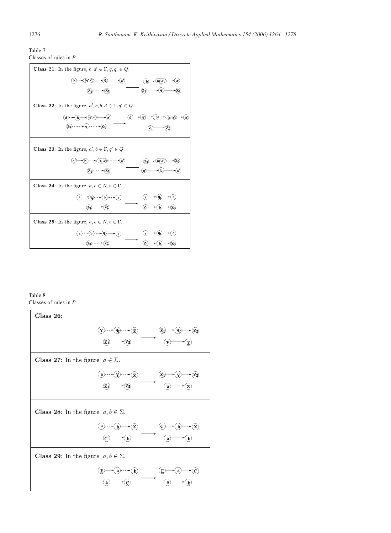<span id="page-12-0"></span>

| Table 7 |                         |  |
|---------|-------------------------|--|
|         | Classes of rules in $P$ |  |

| <b>Class 21:</b> In the figure, $b, a' \in \Gamma, q, q' \in Q$ .                                                                                            |
|--------------------------------------------------------------------------------------------------------------------------------------------------------------|
| $\widehat{q'}(q',a')$ $\cdots$ $\widehat{q}$ $\cdots$ $\widehat{q'}$<br>$\left( \overline{\mathbf{q}^{\prime }},\mathbf{a}^{\prime }\right)$<br>$\mathbf{b}$ |
| $\left( \mathrm{z}_{1}\right)$<br>$(z_1)$ - - - - - $(z)$                                                                                                    |
| <b>Class 22:</b> In the figure, $a', c, b, d \in \Gamma, q' \in Q$ .                                                                                         |
| $\overrightarrow{a}$ $\rightarrow$ $\overrightarrow{b}$ $\rightarrow$ $\overrightarrow{a}$ $\rightarrow$ $\overrightarrow{a}$<br>(d)<br>(q')<br>(q', a)<br>a |
| $\cdots$ $\widehat{q}$ $\cdots$ $\widehat{z_2}$                                                                                                              |
| <b>Class 23:</b> In the figure, $a', b \in \Gamma, q' \in Q$ .                                                                                               |
| $\bullet (b) \cdots \bullet (q',a') \cdots \cdots \bullet (a')$<br>(q,a)                                                                                     |
| (qʻ                                                                                                                                                          |
| <b>Class 24:</b> In the figure, $a, c \in N, b \in \Gamma$ .                                                                                                 |
| $\mathbf{P}(\mathbf{q}_0 \rightarrow \mathbf{p}) \rightarrow \mathbf{p}(\mathbf{q})$<br>( c`<br>`a`<br>a                                                     |
| $(\overline{z_1}) \cdots \bullet (\overline{z_2})$<br>$(\mathbf{z_1})$<br>$\mathbf b$                                                                        |
| <b>Class 25:</b> In the figure, $a, c \in N, b \in \Gamma$ .                                                                                                 |
| $\mathbf{e}(\mathbf{c})$<br>a                                                                                                                                |
|                                                                                                                                                              |

Table 8 Classes of rules in *P*

| Class 26:                                                     |
|---------------------------------------------------------------|
| $\cdot$ (q) $\cdot\cdot\cdot\cdot(z)$<br>Y.<br>$\mathbf{Z}_1$ |
|                                                               |
| <b>Class 27:</b> In the figure, $a \in \Sigma$ .              |
| $(\Omega^{1},\ldots,\Omega^{n})$<br>$\mathbf{a}$              |
| a                                                             |
| <b>Class 28:</b> In the figure, $a, b \in \Sigma$ .           |
| -(Z)<br>$\bf{a}$<br>b                                         |
| a                                                             |
| <b>Class 29:</b> In the figure, $a, b \in \Sigma$ .           |
| $\mathbf{a}(\mathbf{b})$<br>E<br>C                            |
|                                                               |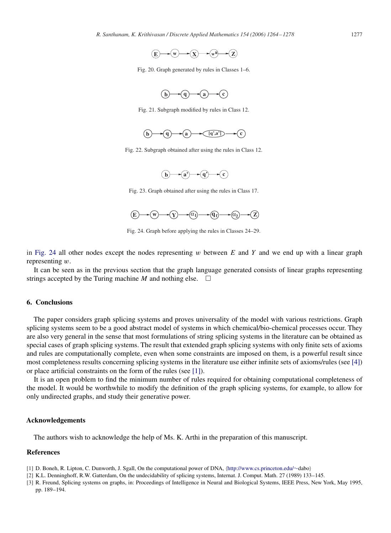

<span id="page-13-0"></span>Fig. 20. Graph generated by rules in Classes 1–6.



Fig. 21. Subgraph modified by rules in Class 12.



Fig. 22. Subgraph obtained after using the rules in Class 12.



Fig. 23. Graph obtained after using the rules in Class 17.



Fig. 24. Graph before applying the rules in Classes 24–29.

in Fig. 24 all other nodes except the nodes representing  $w$  between  $E$  and  $Y$  and we end up with a linear graph representing w.

It can be seen as in the previous section that the graph language generated consists of linear graphs representing strings accepted by the Turing machine *M* and nothing else.  $\Box$ 

## **6. Conclusions**

The paper considers graph splicing systems and proves universality of the model with various restrictions. Graph splicing systems seem to be a good abstract model of systems in which chemical/bio-chemical processes occur. They are also very general in the sense that most formulations of string splicing systems in the literature can be obtained as special cases of graph splicing systems. The result that extended graph splicing systems with only finite sets of axioms and rules are computationally complete, even when some constraints are imposed on them, is a powerful result since most completeness results concerning splicing systems in the literature use either infinite sets of axioms/rules (see [\[4\]\)](#page-14-0) or place artificial constraints on the form of the rules (see [1]).

It is an open problem to find the minimum number of rules required for obtaining computational completeness of the model. It would be worthwhile to modify the definition of the graph splicing systems, for example, to allow for only undirected graphs, and study their generative power.

#### **Acknowledgements**

The authors wish to acknowledge the help of Ms. K. Arthi in the preparation of this manuscript.

## **References**

[1] D. Boneh, R. Lipton, C. Dunworth, J. Sgall, On the computational power of DNA, [http://www.cs.princeton.edu/](http://www.cs.princeton.edu/dabo)∼dabo

[2] K.L. Denninghoff, R.W. Gatterdam, On the undecidability of splicing systems, Internat. J. Comput. Math. 27 (1989) 133–145.

<sup>[3]</sup> R. Freund, Splicing systems on graphs, in: Proceedings of Intelligence in Neural and Biological Systems, IEEE Press, New York, May 1995, pp. 189–194.